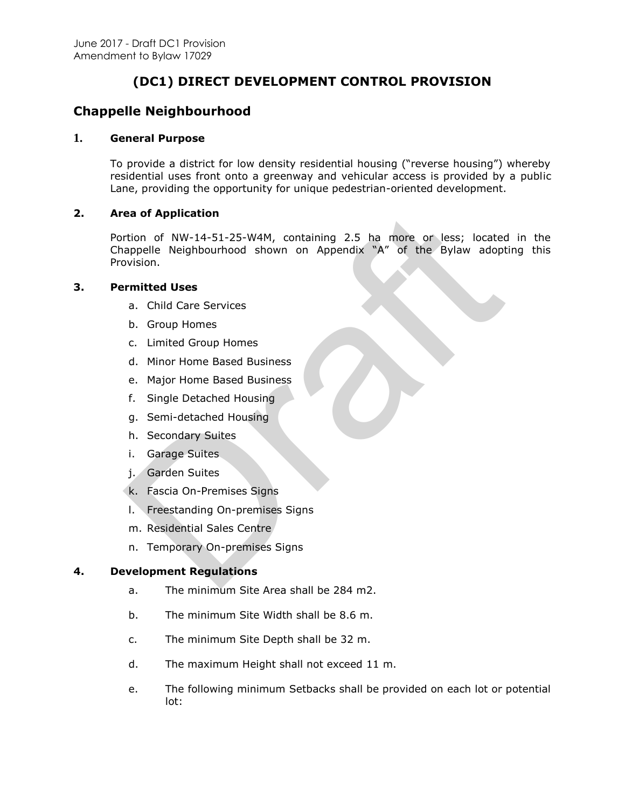# **(DC1) DIRECT DEVELOPMENT CONTROL PROVISION**

## **Chappelle Neighbourhood**

## **1. General Purpose**

To provide a district for low density residential housing ("reverse housing") whereby residential uses front onto a greenway and vehicular access is provided by a public Lane, providing the opportunity for unique pedestrian-oriented development.

## **2. Area of Application**

Portion of NW-14-51-25-W4M, containing 2.5 ha more or less; located in the Chappelle Neighbourhood shown on Appendix "A" of the Bylaw adopting this Provision. ea of Application<br>
rtion of NW-14-51-25-W4M, containing 2.5 ha more or less; located<br>
appelle Neighbourhood shown on Appendix "A" of the Bylaw adopt<br>
vision.<br>
rmitted Uses<br>
b. Group Homes<br>
c. Limited Group Homes<br>
d. Minor

## **3. Permitted Uses**

- a. Child Care Services
- b. Group Homes
- c. Limited Group Homes
- d. Minor Home Based Business
- e. Major Home Based Business
- f. Single Detached Housing
- g. Semi-detached Housing
- h. Secondary Suites
- i. Garage Suites
- j. Garden Suites
- k. Fascia On-Premises Signs
- l. Freestanding On-premises Signs
- m. Residential Sales Centre
- n. Temporary On-premises Signs

#### **4. Development Regulations**

- a. The minimum Site Area shall be 284 m2.
- b. The minimum Site Width shall be 8.6 m.
- c. The minimum Site Depth shall be 32 m.
- d. The maximum Height shall not exceed 11 m.
- e. The following minimum Setbacks shall be provided on each lot or potential lot: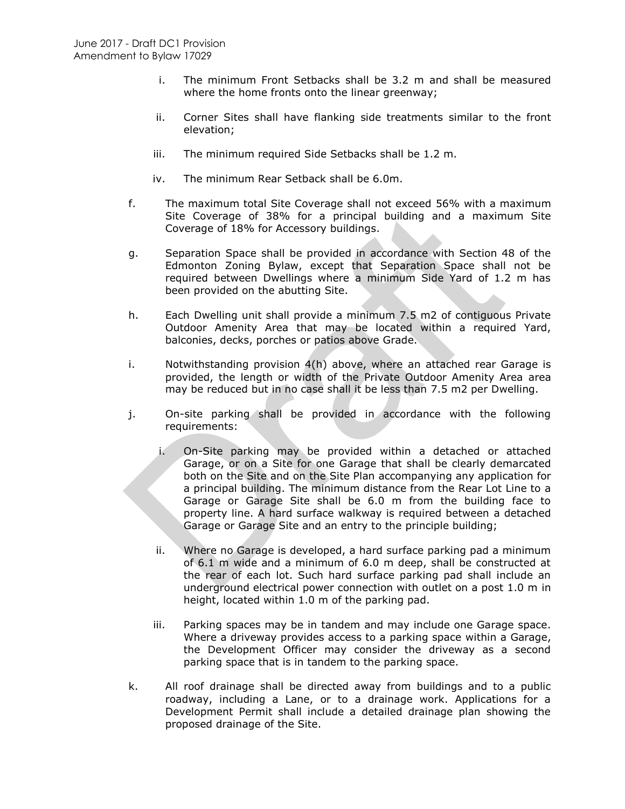- i. The minimum Front Setbacks shall be 3.2 m and shall be measured where the home fronts onto the linear greenway;
- ii. Corner Sites shall have flanking side treatments similar to the front elevation;
- iii. The minimum required Side Setbacks shall be 1.2 m.
- iv. The minimum Rear Setback shall be 6.0m.
- f. The maximum total Site Coverage shall not exceed 56% with a maximum Site Coverage of 38% for a principal building and a maximum Site Coverage of 18% for Accessory buildings.
- g. Separation Space shall be provided in accordance with Section 48 of the Edmonton Zoning Bylaw, except that Separation Space shall not be required between Dwellings where a minimum Side Yard of 1.2 m has been provided on the abutting Site.
- h. Each Dwelling unit shall provide a minimum 7.5 m2 of contiguous Private Outdoor Amenity Area that may be located within a required Yard, balconies, decks, porches or patios above Grade.
- i. Notwithstanding provision 4(h) above, where an attached rear Garage is provided, the length or width of the Private Outdoor Amenity Area area may be reduced but in no case shall it be less than 7.5 m2 per Dwelling.
- j. On-site parking shall be provided in accordance with the following requirements:
- i. On-Site parking may be provided within a detached or attached Garage, or on a Site for one Garage that shall be clearly demarcated both on the Site and on the Site Plan accompanying any application for a principal building. The minimum distance from the Rear Lot Line to a Garage or Garage Site shall be 6.0 m from the building face to property line. A hard surface walkway is required between a detached Garage or Garage Site and an entry to the principle building; Site Coverage of 38% for a principal building and a maxim<br>
Coverage of 18% for Accessory buildings.<br>
9. Separation Space shall be provided in accordance with Section 4<br>
Edmonton Zoning Bylaw, except that Separation Space s
	- ii. Where no Garage is developed, a hard surface parking pad a minimum of 6.1 m wide and a minimum of 6.0 m deep, shall be constructed at the rear of each lot. Such hard surface parking pad shall include an underground electrical power connection with outlet on a post 1.0 m in height, located within 1.0 m of the parking pad.
	- iii. Parking spaces may be in tandem and may include one Garage space. Where a driveway provides access to a parking space within a Garage, the Development Officer may consider the driveway as a second parking space that is in tandem to the parking space.
- k. All roof drainage shall be directed away from buildings and to a public roadway, including a Lane, or to a drainage work. Applications for a Development Permit shall include a detailed drainage plan showing the proposed drainage of the Site.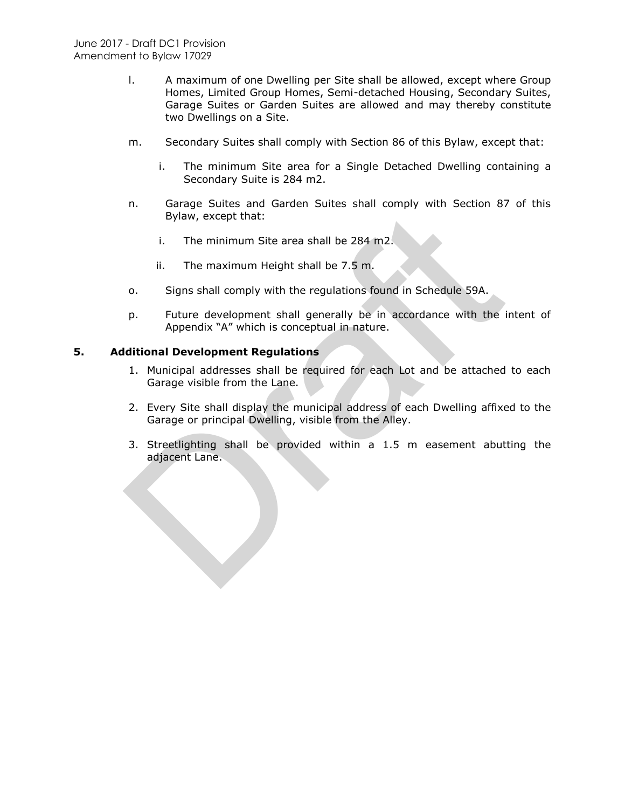- l. A maximum of one Dwelling per Site shall be allowed, except where Group Homes, Limited Group Homes, Semi-detached Housing, Secondary Suites, Garage Suites or Garden Suites are allowed and may thereby constitute two Dwellings on a Site.
- m. Secondary Suites shall comply with Section 86 of this Bylaw, except that:
	- i. The minimum Site area for a Single Detached Dwelling containing a Secondary Suite is 284 m2.
- n. Garage Suites and Garden Suites shall comply with Section 87 of this Bylaw, except that:
	- i. The minimum Site area shall be 284 m2.
	- ii. The maximum Height shall be 7.5 m.
- o. Signs shall comply with the regulations found in Schedule 59A.
- p. Future development shall generally be in accordance with the intent of Appendix "A" which is conceptual in nature.

## **5. Additional Development Regulations**

- 1. Municipal addresses shall be required for each Lot and be attached to each Garage visible from the Lane.
- 2. Every Site shall display the municipal address of each Dwelling affixed to the Garage or principal Dwelling, visible from the Alley.
- 3. Streetlighting shall be provided within a 1.5 m easement abutting the adjacent Lane. Bylaw, except that:<br>
i. The minimum Site area shall be 284 m2.<br>
ii. The maximum Height shall be 2.5 m.<br>
o. Signs shall comply with the regulations found in Schedule 59A.<br>
P. Future development shall generally be in accorda